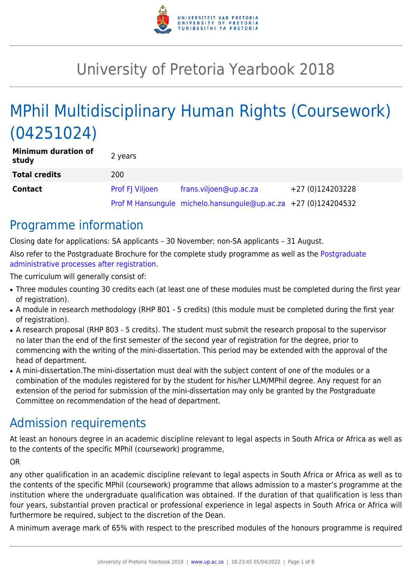

# University of Pretoria Yearbook 2018

# MPhil Multidisciplinary Human Rights (Coursework) (04251024)

| <b>Minimum duration of</b><br>study | 2 years                |                                                                |                  |
|-------------------------------------|------------------------|----------------------------------------------------------------|------------------|
| <b>Total credits</b>                | 200                    |                                                                |                  |
| <b>Contact</b>                      | <b>Prof FJ Viljoen</b> | frans.viljoen@up.ac.za                                         | +27 (0)124203228 |
|                                     |                        | Prof M Hansungule michelo.hansungule@up.ac.za +27 (0)124204532 |                  |

## Programme information

Closing date for applications: SA applicants – 30 November; non-SA applicants – 31 August. Also refer to the Postgraduate Brochure for the complete study programme as well as the [Postgraduate](http://www.up.ac.za/media/shared/10/ZP_Files/post-graduate-administrative-processes-brochures-for-the-faculty-web.zp124870.pdf) [administrative processes after registration.](http://www.up.ac.za/media/shared/10/ZP_Files/post-graduate-administrative-processes-brochures-for-the-faculty-web.zp124870.pdf)

The curriculum will generally consist of:

- Three modules counting 30 credits each (at least one of these modules must be completed during the first year of registration).
- A module in research methodology (RHP 801 5 credits) (this module must be completed during the first year of registration).
- A research proposal (RHP 803 5 credits). The student must submit the research proposal to the supervisor no later than the end of the first semester of the second year of registration for the degree, prior to commencing with the writing of the mini-dissertation. This period may be extended with the approval of the head of department.
- A mini-dissertation. The mini-dissertation must deal with the subject content of one of the modules or a combination of the modules registered for by the student for his/her LLM/MPhil degree. Any request for an extension of the period for submission of the mini-dissertation may only be granted by the Postgraduate Committee on recommendation of the head of department.

## Admission requirements

At least an honours degree in an academic discipline relevant to legal aspects in South Africa or Africa as well as to the contents of the specific MPhil (coursework) programme,

#### OR

any other qualification in an academic discipline relevant to legal aspects in South Africa or Africa as well as to the contents of the specific MPhil (coursework) programme that allows admission to a master's programme at the institution where the undergraduate qualification was obtained. If the duration of that qualification is less than four years, substantial proven practical or professional experience in legal aspects in South Africa or Africa will furthermore be required, subject to the discretion of the Dean.

A minimum average mark of 65% with respect to the prescribed modules of the honours programme is required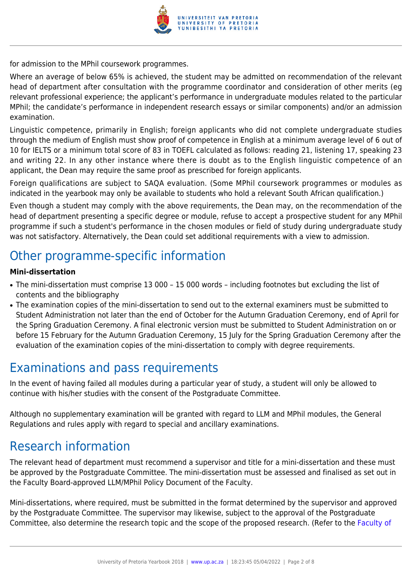

for admission to the MPhil coursework programmes.

Where an average of below 65% is achieved, the student may be admitted on recommendation of the relevant head of department after consultation with the programme coordinator and consideration of other merits (eg relevant professional experience; the applicant's performance in undergraduate modules related to the particular MPhil; the candidate's performance in independent research essays or similar components) and/or an admission examination.

Linguistic competence, primarily in English; foreign applicants who did not complete undergraduate studies through the medium of English must show proof of competence in English at a minimum average level of 6 out of 10 for IELTS or a minimum total score of 83 in TOEFL calculated as follows: reading 21, listening 17, speaking 23 and writing 22. In any other instance where there is doubt as to the English linguistic competence of an applicant, the Dean may require the same proof as prescribed for foreign applicants.

Foreign qualifications are subject to SAQA evaluation. (Some MPhil coursework programmes or modules as indicated in the yearbook may only be available to students who hold a relevant South African qualification.)

Even though a student may comply with the above requirements, the Dean may, on the recommendation of the head of department presenting a specific degree or module, refuse to accept a prospective student for any MPhil programme if such a student's performance in the chosen modules or field of study during undergraduate study was not satisfactory. Alternatively, the Dean could set additional requirements with a view to admission.

### Other programme-specific information

#### **Mini-dissertation**

- The mini-dissertation must comprise 13 000 15 000 words including footnotes but excluding the list of contents and the bibliography
- The examination copies of the mini-dissertation to send out to the external examiners must be submitted to Student Administration not later than the end of October for the Autumn Graduation Ceremony, end of April for the Spring Graduation Ceremony. A final electronic version must be submitted to Student Administration on or before 15 February for the Autumn Graduation Ceremony, 15 July for the Spring Graduation Ceremony after the evaluation of the examination copies of the mini-dissertation to comply with degree requirements.

### Examinations and pass requirements

In the event of having failed all modules during a particular year of study, a student will only be allowed to continue with his/her studies with the consent of the Postgraduate Committee.

Although no supplementary examination will be granted with regard to LLM and MPhil modules, the General Regulations and rules apply with regard to special and ancillary examinations.

### Research information

The relevant head of department must recommend a supervisor and title for a mini-dissertation and these must be approved by the Postgraduate Committee. The mini-dissertation must be assessed and finalised as set out in the Faculty Board-approved LLM/MPhil Policy Document of the Faculty.

Mini-dissertations, where required, must be submitted in the format determined by the supervisor and approved by the Postgraduate Committee. The supervisor may likewise, subject to the approval of the Postgraduate Committee, also determine the research topic and the scope of the proposed research. (Refer to the [Faculty of](http://www.up.ac.za/media/shared/10/ZP_Files/faculty-regulations-for-the-mini-dissertation.zp124872.pdf)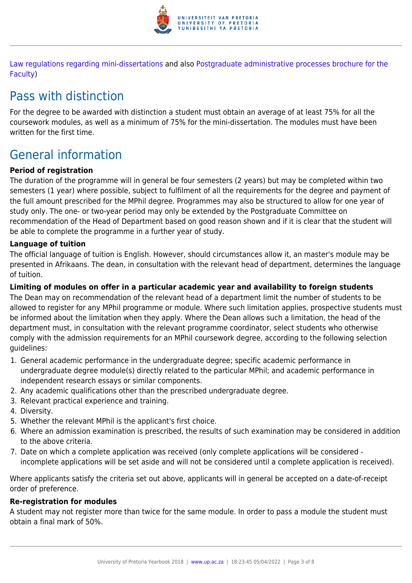

[Law regulations regarding mini-dissertations](http://www.up.ac.za/media/shared/10/ZP_Files/faculty-regulations-for-the-mini-dissertation.zp124872.pdf) and also [Postgraduate administrative processes brochure for the](http://www.up.ac.za/media/shared/10/ZP_Files/post-graduate-administrative-processes-brochures-for-the-faculty-web.zp124870.pdf) [Faculty](http://www.up.ac.za/media/shared/10/ZP_Files/post-graduate-administrative-processes-brochures-for-the-faculty-web.zp124870.pdf))

# Pass with distinction

For the degree to be awarded with distinction a student must obtain an average of at least 75% for all the coursework modules, as well as a minimum of 75% for the mini-dissertation. The modules must have been written for the first time.

# General information

#### **Period of registration**

The duration of the programme will in general be four semesters (2 years) but may be completed within two semesters (1 year) where possible, subject to fulfilment of all the requirements for the degree and payment of the full amount prescribed for the MPhil degree. Programmes may also be structured to allow for one year of study only. The one- or two-year period may only be extended by the Postgraduate Committee on recommendation of the Head of Department based on good reason shown and if it is clear that the student will be able to complete the programme in a further year of study.

#### **Language of tuition**

The official language of tuition is English. However, should circumstances allow it, an master's module may be presented in Afrikaans. The dean, in consultation with the relevant head of department, determines the language of tuition.

#### **Limiting of modules on offer in a particular academic year and availability to foreign students**

The Dean may on recommendation of the relevant head of a department limit the number of students to be allowed to register for any MPhil programme or module. Where such limitation applies, prospective students must be informed about the limitation when they apply. Where the Dean allows such a limitation, the head of the department must, in consultation with the relevant programme coordinator, select students who otherwise comply with the admission requirements for an MPhil coursework degree, according to the following selection guidelines:

- 1. General academic performance in the undergraduate degree; specific academic performance in undergraduate degree module(s) directly related to the particular MPhil; and academic performance in independent research essays or similar components.
- 2. Any academic qualifications other than the prescribed undergraduate degree.
- 3. Relevant practical experience and training.
- 4. Diversity.
- 5. Whether the relevant MPhil is the applicant's first choice.
- 6. Where an admission examination is prescribed, the results of such examination may be considered in addition to the above criteria.
- 7. Date on which a complete application was received (only complete applications will be considered incomplete applications will be set aside and will not be considered until a complete application is received).

Where applicants satisfy the criteria set out above, applicants will in general be accepted on a date-of-receipt order of preference.

### **Re-registration for modules**

A student may not register more than twice for the same module. In order to pass a module the student must obtain a final mark of 50%.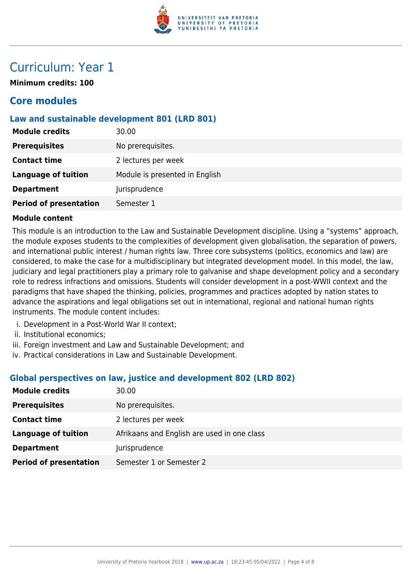

## Curriculum: Year 1

**Minimum credits: 100**

### **Core modules**

#### **Law and sustainable development 801 (LRD 801)**

| <b>Module credits</b>         | 30.00                          |
|-------------------------------|--------------------------------|
| <b>Prerequisites</b>          | No prerequisites.              |
| <b>Contact time</b>           | 2 lectures per week            |
| <b>Language of tuition</b>    | Module is presented in English |
| <b>Department</b>             | Jurisprudence                  |
| <b>Period of presentation</b> | Semester 1                     |

#### **Module content**

This module is an introduction to the Law and Sustainable Development discipline. Using a "systems" approach, the module exposes students to the complexities of development given globalisation, the separation of powers, and international public interest / human rights law. Three core subsystems (politics, economics and law) are considered, to make the case for a multidisciplinary but integrated development model. In this model, the law, judiciary and legal practitioners play a primary role to galvanise and shape development policy and a secondary role to redress infractions and omissions. Students will consider development in a post-WWII context and the paradigms that have shaped the thinking, policies, programmes and practices adopted by nation states to advance the aspirations and legal obligations set out in international, regional and national human rights instruments. The module content includes:

- i. Development in a Post-World War II context;
- ii. Institutional economics;
- iii. Foreign investment and Law and Sustainable Development; and
- iv. Practical considerations in Law and Sustainable Development.

#### **Global perspectives on law, justice and development 802 (LRD 802)**

| <b>Module credits</b>         | 30.00                                       |
|-------------------------------|---------------------------------------------|
| <b>Prerequisites</b>          | No prerequisites.                           |
| <b>Contact time</b>           | 2 lectures per week                         |
| <b>Language of tuition</b>    | Afrikaans and English are used in one class |
| <b>Department</b>             | Jurisprudence                               |
| <b>Period of presentation</b> | Semester 1 or Semester 2                    |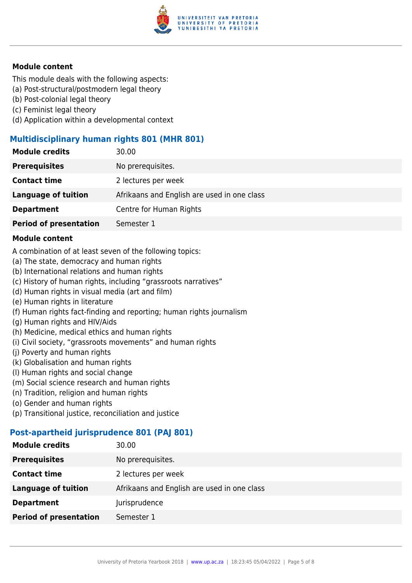

#### **Module content**

This module deals with the following aspects:

- (a) Post-structural/postmodern legal theory
- (b) Post-colonial legal theory
- (c) Feminist legal theory
- (d) Application within a developmental context

#### **Multidisciplinary human rights 801 (MHR 801)**

| <b>Module credits</b>         | 30.00                                       |
|-------------------------------|---------------------------------------------|
| <b>Prerequisites</b>          | No prerequisites.                           |
| <b>Contact time</b>           | 2 lectures per week                         |
| <b>Language of tuition</b>    | Afrikaans and English are used in one class |
| <b>Department</b>             | Centre for Human Rights                     |
| <b>Period of presentation</b> | Semester 1                                  |

#### **Module content**

A combination of at least seven of the following topics:

- (a) The state, democracy and human rights
- (b) International relations and human rights
- (c) History of human rights, including "grassroots narratives"
- (d) Human rights in visual media (art and film)
- (e) Human rights in literature
- (f) Human rights fact-finding and reporting; human rights journalism
- (g) Human rights and HIV/Aids
- (h) Medicine, medical ethics and human rights
- (i) Civil society, "grassroots movements" and human rights
- (j) Poverty and human rights
- (k) Globalisation and human rights
- (l) Human rights and social change
- (m) Social science research and human rights
- (n) Tradition, religion and human rights
- (o) Gender and human rights
- (p) Transitional justice, reconciliation and justice

#### **Post-apartheid jurisprudence 801 (PAJ 801)**

| 30.00                                       |
|---------------------------------------------|
| No prerequisites.                           |
| 2 lectures per week                         |
| Afrikaans and English are used in one class |
| Jurisprudence                               |
| Semester 1                                  |
|                                             |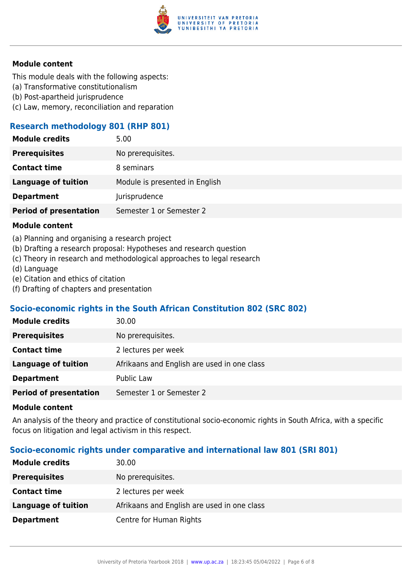

#### **Module content**

This module deals with the following aspects:

- (a) Transformative constitutionalism
- (b) Post-apartheid jurisprudence
- (c) Law, memory, reconciliation and reparation

#### **Research methodology 801 (RHP 801)**

| <b>Module credits</b>         | 5.00                           |
|-------------------------------|--------------------------------|
| <b>Prerequisites</b>          | No prerequisites.              |
| <b>Contact time</b>           | 8 seminars                     |
| <b>Language of tuition</b>    | Module is presented in English |
| <b>Department</b>             | Jurisprudence                  |
| <b>Period of presentation</b> | Semester 1 or Semester 2       |
|                               |                                |

#### **Module content**

- (a) Planning and organising a research project
- (b) Drafting a research proposal: Hypotheses and research question
- (c) Theory in research and methodological approaches to legal research
- (d) Language
- (e) Citation and ethics of citation
- (f) Drafting of chapters and presentation

#### **Socio-economic rights in the South African Constitution 802 (SRC 802)**

#### **Module content**

An analysis of the theory and practice of constitutional socio-economic rights in South Africa, with a specific focus on litigation and legal activism in this respect.

#### **Socio-economic rights under comparative and international law 801 (SRI 801)**

| <b>Module credits</b>      | 30.00                                       |
|----------------------------|---------------------------------------------|
| <b>Prerequisites</b>       | No prerequisites.                           |
| <b>Contact time</b>        | 2 lectures per week                         |
| <b>Language of tuition</b> | Afrikaans and English are used in one class |
| <b>Department</b>          | Centre for Human Rights                     |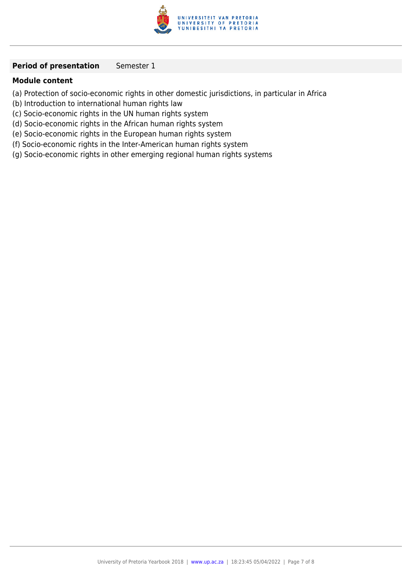

#### **Period of presentation** Semester 1

#### **Module content**

- (a) Protection of socio-economic rights in other domestic jurisdictions, in particular in Africa
- (b) Introduction to international human rights law
- (c) Socio-economic rights in the UN human rights system
- (d) Socio-economic rights in the African human rights system
- (e) Socio-economic rights in the European human rights system
- (f) Socio-economic rights in the Inter-American human rights system
- (g) Socio-economic rights in other emerging regional human rights systems